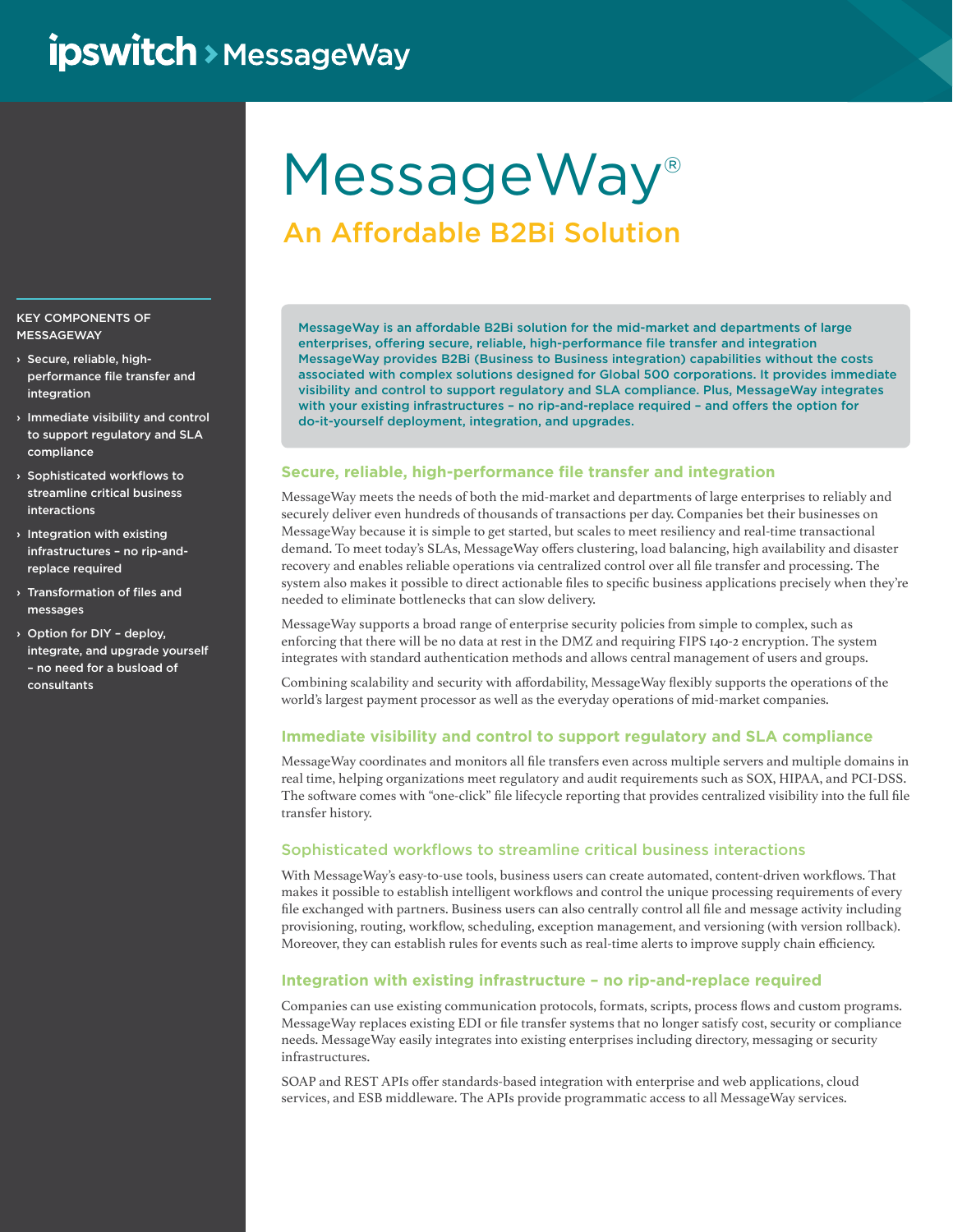## **ipswitch** > MessageWay

# MessageWay®

### An Affordable B2Bi Solution

MessageWay is an affordable B2Bi solution for the mid-market and departments of large enterprises, offering secure, reliable, high-performance file transfer and integration MessageWay provides B2Bi (Business to Business integration) capabilities without the costs associated with complex solutions designed for Global 500 corporations. It provides immediate visibility and control to support regulatory and SLA compliance. Plus, MessageWay integrates with your existing infrastructures – no rip-and-replace required – and offers the option for do-it-yourself deployment, integration, and upgrades.

#### **Secure, reliable, high-performance file transfer and integration**

MessageWay meets the needs of both the mid-market and departments of large enterprises to reliably and securely deliver even hundreds of thousands of transactions per day. Companies bet their businesses on MessageWay because it is simple to get started, but scales to meet resiliency and real-time transactional demand. To meet today's SLAs, MessageWay offers clustering, load balancing, high availability and disaster recovery and enables reliable operations via centralized control over all file transfer and processing. The system also makes it possible to direct actionable files to specific business applications precisely when they're needed to eliminate bottlenecks that can slow delivery.

MessageWay supports a broad range of enterprise security policies from simple to complex, such as enforcing that there will be no data at rest in the DMZ and requiring FIPS 140-2 encryption. The system integrates with standard authentication methods and allows central management of users and groups.

Combining scalability and security with affordability, MessageWay flexibly supports the operations of the world's largest payment processor as well as the everyday operations of mid-market companies.

#### **Immediate visibility and control to support regulatory and SLA compliance**

MessageWay coordinates and monitors all file transfers even across multiple servers and multiple domains in real time, helping organizations meet regulatory and audit requirements such as SOX, HIPAA, and PCI-DSS. The software comes with "one-click" file lifecycle reporting that provides centralized visibility into the full file transfer history.

#### Sophisticated workflows to streamline critical business interactions

With MessageWay's easy-to-use tools, business users can create automated, content-driven workflows. That makes it possible to establish intelligent workflows and control the unique processing requirements of every file exchanged with partners. Business users can also centrally control all file and message activity including provisioning, routing, workflow, scheduling, exception management, and versioning (with version rollback). Moreover, they can establish rules for events such as real-time alerts to improve supply chain efficiency.

#### **Integration with existing infrastructure – no rip-and-replace required**

Companies can use existing communication protocols, formats, scripts, process flows and custom programs. MessageWay replaces existing EDI or file transfer systems that no longer satisfy cost, security or compliance needs. MessageWay easily integrates into existing enterprises including directory, messaging or security infrastructures.

SOAP and REST APIs offer standards-based integration with enterprise and web applications, cloud services, and ESB middleware. The APIs provide programmatic access to all MessageWay services.

#### KEY COMPONENTS OF MESSAGEWAY

- › Secure, reliable, highperformance file transfer and integration
- › Immediate visibility and control to support regulatory and SLA compliance
- › Sophisticated workflows to streamline critical business interactions
- › Integration with existing infrastructures – no rip-andreplace required
- › Transformation of files and messages
- › Option for DIY deploy, integrate, and upgrade yourself – no need for a busload of consultants